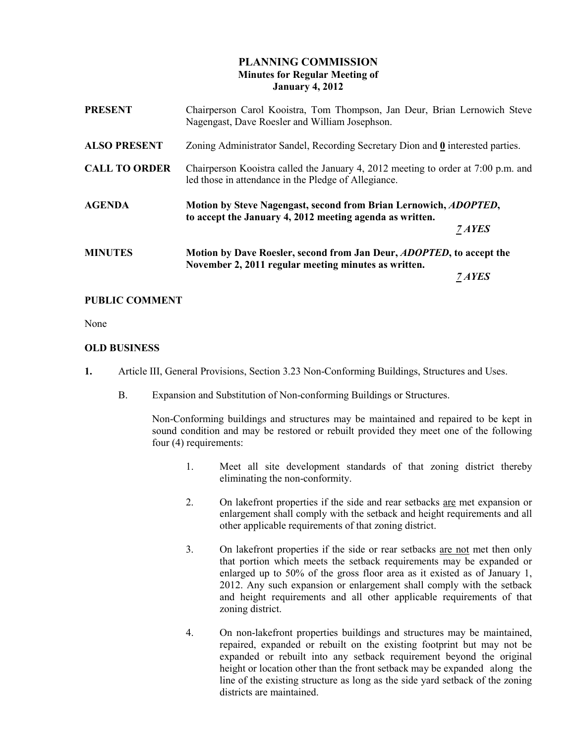# PLANNING COMMISSION Minutes for Regular Meeting of January 4, 2012

| <b>PRESENT</b>       | Chairperson Carol Kooistra, Tom Thompson, Jan Deur, Brian Lernowich Steve<br>Nagengast, Dave Roesler and William Josephson.               |        |
|----------------------|-------------------------------------------------------------------------------------------------------------------------------------------|--------|
| <b>ALSO PRESENT</b>  | Zoning Administrator Sandel, Recording Secretary Dion and 0 interested parties.                                                           |        |
| <b>CALL TO ORDER</b> | Chairperson Kooistra called the January 4, 2012 meeting to order at 7:00 p.m. and<br>led those in attendance in the Pledge of Allegiance. |        |
| <b>AGENDA</b>        | Motion by Steve Nagengast, second from Brian Lernowich, <i>ADOPTED</i> ,<br>to accept the January 4, 2012 meeting agenda as written.      |        |
|                      |                                                                                                                                           | 7 AYES |
| <b>MINUTES</b>       | Motion by Dave Roesler, second from Jan Deur, <i>ADOPTED</i> , to accept the<br>November 2, 2011 regular meeting minutes as written.      |        |
|                      |                                                                                                                                           |        |

## PUBLIC COMMENT

None

## OLD BUSINESS

- 1. Article III, General Provisions, Section 3.23 Non-Conforming Buildings, Structures and Uses.
	- B. Expansion and Substitution of Non-conforming Buildings or Structures.

 Non-Conforming buildings and structures may be maintained and repaired to be kept in sound condition and may be restored or rebuilt provided they meet one of the following four (4) requirements:

- 1. Meet all site development standards of that zoning district thereby eliminating the non-conformity.
- 2. On lakefront properties if the side and rear setbacks are met expansion or enlargement shall comply with the setback and height requirements and all other applicable requirements of that zoning district.
- 3. On lakefront properties if the side or rear setbacks are not met then only that portion which meets the setback requirements may be expanded or enlarged up to 50% of the gross floor area as it existed as of January 1, 2012. Any such expansion or enlargement shall comply with the setback and height requirements and all other applicable requirements of that zoning district.
- 4. On non-lakefront properties buildings and structures may be maintained, repaired, expanded or rebuilt on the existing footprint but may not be expanded or rebuilt into any setback requirement beyond the original height or location other than the front setback may be expanded along the line of the existing structure as long as the side yard setback of the zoning districts are maintained.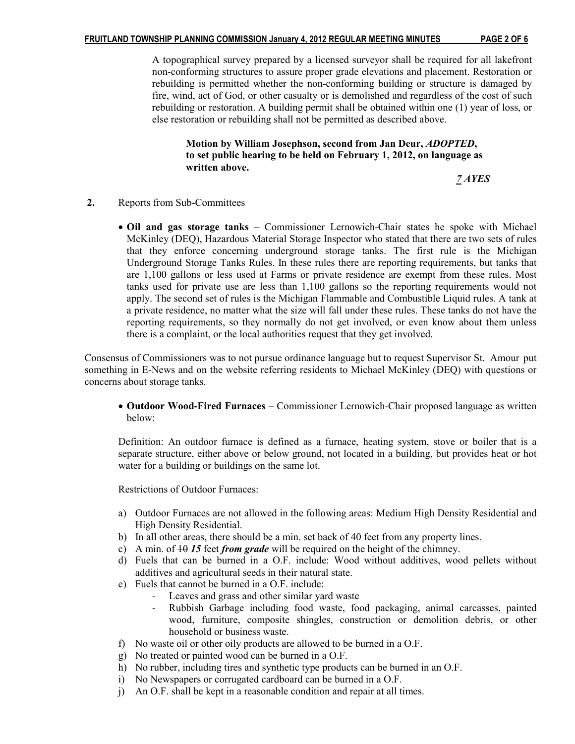A topographical survey prepared by a licensed surveyor shall be required for all lakefront non-conforming structures to assure proper grade elevations and placement. Restoration or rebuilding is permitted whether the non-conforming building or structure is damaged by fire, wind, act of God, or other casualty or is demolished and regardless of the cost of such rebuilding or restoration. A building permit shall be obtained within one (1) year of loss, or else restoration or rebuilding shall not be permitted as described above.

 Motion by William Josephson, second from Jan Deur, ADOPTED, to set public hearing to be held on February 1, 2012, on language as written above.

7 AYES

- 2. Reports from Sub-Committees
	- Oil and gas storage tanks Commissioner Lernowich-Chair states he spoke with Michael McKinley (DEQ), Hazardous Material Storage Inspector who stated that there are two sets of rules that they enforce concerning underground storage tanks. The first rule is the Michigan Underground Storage Tanks Rules. In these rules there are reporting requirements, but tanks that are 1,100 gallons or less used at Farms or private residence are exempt from these rules. Most tanks used for private use are less than 1,100 gallons so the reporting requirements would not apply. The second set of rules is the Michigan Flammable and Combustible Liquid rules. A tank at a private residence, no matter what the size will fall under these rules. These tanks do not have the reporting requirements, so they normally do not get involved, or even know about them unless there is a complaint, or the local authorities request that they get involved.

Consensus of Commissioners was to not pursue ordinance language but to request Supervisor St. Amour put something in E-News and on the website referring residents to Michael McKinley (DEQ) with questions or concerns about storage tanks.

• Outdoor Wood-Fired Furnaces – Commissioner Lernowich-Chair proposed language as written below:

 Definition: An outdoor furnace is defined as a furnace, heating system, stove or boiler that is a separate structure, either above or below ground, not located in a building, but provides heat or hot water for a building or buildings on the same lot.

Restrictions of Outdoor Furnaces:

- a) Outdoor Furnaces are not allowed in the following areas: Medium High Density Residential and High Density Residential.
- b) In all other areas, there should be a min. set back of 40 feet from any property lines.
- c) A min. of  $\overline{10}$  15 feet from grade will be required on the height of the chimney.
- d) Fuels that can be burned in a O.F. include: Wood without additives, wood pellets without additives and agricultural seeds in their natural state.
- e) Fuels that cannot be burned in a O.F. include:
	- Leaves and grass and other similar yard waste
	- Rubbish Garbage including food waste, food packaging, animal carcasses, painted wood, furniture, composite shingles, construction or demolition debris, or other household or business waste.
- f) No waste oil or other oily products are allowed to be burned in a O.F.
- g) No treated or painted wood can be burned in a O.F.
- h) No rubber, including tires and synthetic type products can be burned in an O.F.
- i) No Newspapers or corrugated cardboard can be burned in a O.F.
- j) An O.F. shall be kept in a reasonable condition and repair at all times.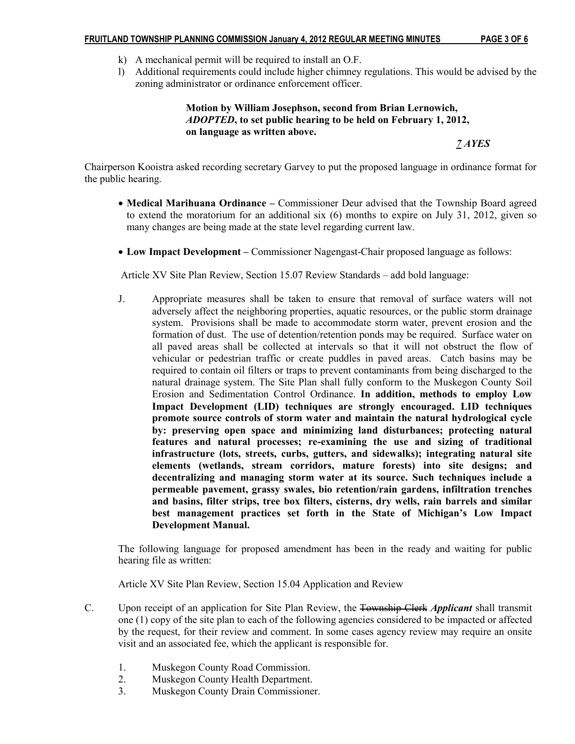- k) A mechanical permit will be required to install an O.F.
- l) Additional requirements could include higher chimney regulations. This would be advised by the zoning administrator or ordinance enforcement officer.

 Motion by William Josephson, second from Brian Lernowich, ADOPTED, to set public hearing to be held on February 1, 2012, on language as written above.

7 AYES

Chairperson Kooistra asked recording secretary Garvey to put the proposed language in ordinance format for the public hearing.

- Medical Marihuana Ordinance Commissioner Deur advised that the Township Board agreed to extend the moratorium for an additional six (6) months to expire on July 31, 2012, given so many changes are being made at the state level regarding current law.
- Low Impact Development Commissioner Nagengast-Chair proposed language as follows:

Article XV Site Plan Review, Section 15.07 Review Standards – add bold language:

J. Appropriate measures shall be taken to ensure that removal of surface waters will not adversely affect the neighboring properties, aquatic resources, or the public storm drainage system. Provisions shall be made to accommodate storm water, prevent erosion and the formation of dust. The use of detention/retention ponds may be required. Surface water on all paved areas shall be collected at intervals so that it will not obstruct the flow of vehicular or pedestrian traffic or create puddles in paved areas. Catch basins may be required to contain oil filters or traps to prevent contaminants from being discharged to the natural drainage system. The Site Plan shall fully conform to the Muskegon County Soil Erosion and Sedimentation Control Ordinance. In addition, methods to employ Low Impact Development (LID) techniques are strongly encouraged. LID techniques promote source controls of storm water and maintain the natural hydrological cycle by: preserving open space and minimizing land disturbances; protecting natural features and natural processes; re-examining the use and sizing of traditional infrastructure (lots, streets, curbs, gutters, and sidewalks); integrating natural site elements (wetlands, stream corridors, mature forests) into site designs; and decentralizing and managing storm water at its source. Such techniques include a permeable pavement, grassy swales, bio retention/rain gardens, infiltration trenches and basins, filter strips, tree box filters, cisterns, dry wells, rain barrels and similar best management practices set forth in the State of Michigan's Low Impact Development Manual.

The following language for proposed amendment has been in the ready and waiting for public hearing file as written:

Article XV Site Plan Review, Section 15.04 Application and Review

- C. Upon receipt of an application for Site Plan Review, the Township Clerk *Applicant* shall transmit one (1) copy of the site plan to each of the following agencies considered to be impacted or affected by the request, for their review and comment. In some cases agency review may require an onsite visit and an associated fee, which the applicant is responsible for.
	- 1. Muskegon County Road Commission.
	- 2. Muskegon County Health Department.
	- 3. Muskegon County Drain Commissioner.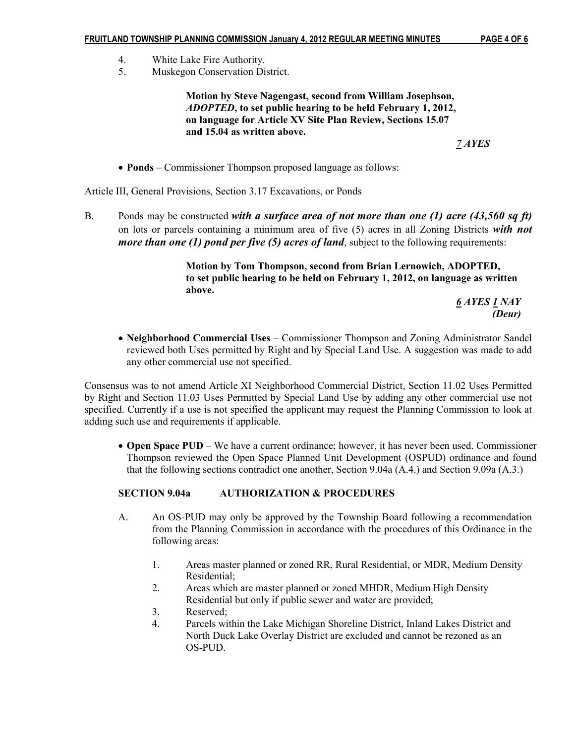- 4. White Lake Fire Authority.
- 5. Muskegon Conservation District.

 Motion by Steve Nagengast, second from William Josephson, ADOPTED, to set public hearing to be held February 1, 2012, on language for Article XV Site Plan Review, Sections 15.07 and 15.04 as written above.

7 AYES

• **Ponds** – Commissioner Thompson proposed language as follows:

Article III, General Provisions, Section 3.17 Excavations, or Ponds

B. Ponds may be constructed with a surface area of not more than one (1) acre  $(43,560 \text{ sq ft})$ on lots or parcels containing a minimum area of five  $(5)$  acres in all Zoning Districts with not *more than one (1) pond per five (5) acres of land*, subject to the following requirements:

> Motion by Tom Thompson, second from Brian Lernowich, ADOPTED, to set public hearing to be held on February 1, 2012, on language as written above.

6 AYES 1 NAY (Deur)

• Neighborhood Commercial Uses – Commissioner Thompson and Zoning Administrator Sandel reviewed both Uses permitted by Right and by Special Land Use. A suggestion was made to add any other commercial use not specified.

Consensus was to not amend Article XI Neighborhood Commercial District, Section 11.02 Uses Permitted by Right and Section 11.03 Uses Permitted by Special Land Use by adding any other commercial use not specified. Currently if a use is not specified the applicant may request the Planning Commission to look at adding such use and requirements if applicable.

• Open Space PUD – We have a current ordinance; however, it has never been used. Commissioner Thompson reviewed the Open Space Planned Unit Development (OSPUD) ordinance and found that the following sections contradict one another, Section 9.04a (A.4.) and Section 9.09a (A.3.)

# SECTION 9.04a AUTHORIZATION & PROCEDURES

- A. An OS-PUD may only be approved by the Township Board following a recommendation from the Planning Commission in accordance with the procedures of this Ordinance in the following areas:
	- 1. Areas master planned or zoned RR, Rural Residential, or MDR, Medium Density Residential;
	- 2. Areas which are master planned or zoned MHDR, Medium High Density Residential but only if public sewer and water are provided;
	- 3. Reserved;
	- 4. Parcels within the Lake Michigan Shoreline District, Inland Lakes District and North Duck Lake Overlay District are excluded and cannot be rezoned as an OS-PUD.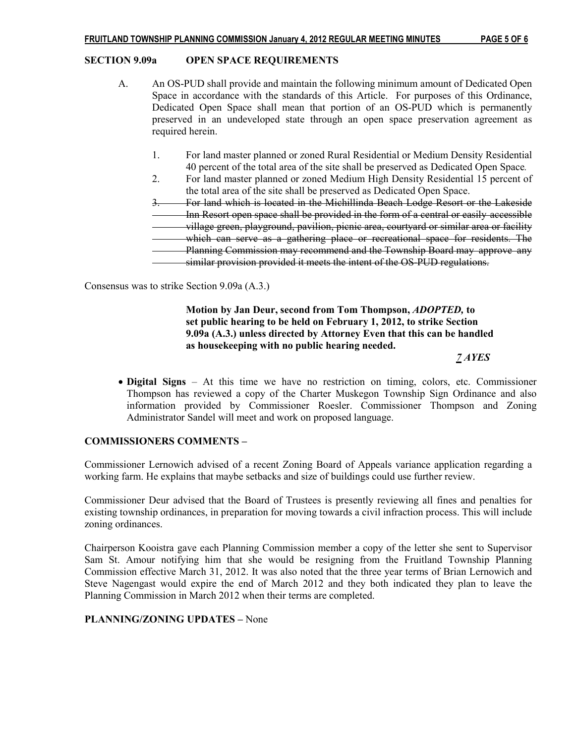#### SECTION 9.09a OPEN SPACE REQUIREMENTS

- A. An OS-PUD shall provide and maintain the following minimum amount of Dedicated Open Space in accordance with the standards of this Article. For purposes of this Ordinance, Dedicated Open Space shall mean that portion of an OS-PUD which is permanently preserved in an undeveloped state through an open space preservation agreement as required herein.
	- 1. For land master planned or zoned Rural Residential or Medium Density Residential 40 percent of the total area of the site shall be preserved as Dedicated Open Space.
	- 2. For land master planned or zoned Medium High Density Residential 15 percent of the total area of the site shall be preserved as Dedicated Open Space.

 3. For land which is located in the Michillinda Beach Lodge Resort or the Lakeside Inn Resort open space shall be provided in the form of a central or easily accessible village green, playground, pavilion, picnic area, courtyard or similar area or facility which can serve as a gathering place or recreational space for residents. The Planning Commission may recommend and the Township Board may approve any

similar provision provided it meets the intent of the OS-PUD regulations.

Consensus was to strike Section 9.09a (A.3.)

## Motion by Jan Deur, second from Tom Thompson, ADOPTED, to set public hearing to be held on February 1, 2012, to strike Section 9.09a (A.3.) unless directed by Attorney Even that this can be handled as housekeeping with no public hearing needed.

7 AYES

• Digital Signs – At this time we have no restriction on timing, colors, etc. Commissioner Thompson has reviewed a copy of the Charter Muskegon Township Sign Ordinance and also information provided by Commissioner Roesler. Commissioner Thompson and Zoning Administrator Sandel will meet and work on proposed language.

## COMMISSIONERS COMMENTS –

Commissioner Lernowich advised of a recent Zoning Board of Appeals variance application regarding a working farm. He explains that maybe setbacks and size of buildings could use further review.

Commissioner Deur advised that the Board of Trustees is presently reviewing all fines and penalties for existing township ordinances, in preparation for moving towards a civil infraction process. This will include zoning ordinances.

Chairperson Kooistra gave each Planning Commission member a copy of the letter she sent to Supervisor Sam St. Amour notifying him that she would be resigning from the Fruitland Township Planning Commission effective March 31, 2012. It was also noted that the three year terms of Brian Lernowich and Steve Nagengast would expire the end of March 2012 and they both indicated they plan to leave the Planning Commission in March 2012 when their terms are completed.

## PLANNING/ZONING UPDATES – None